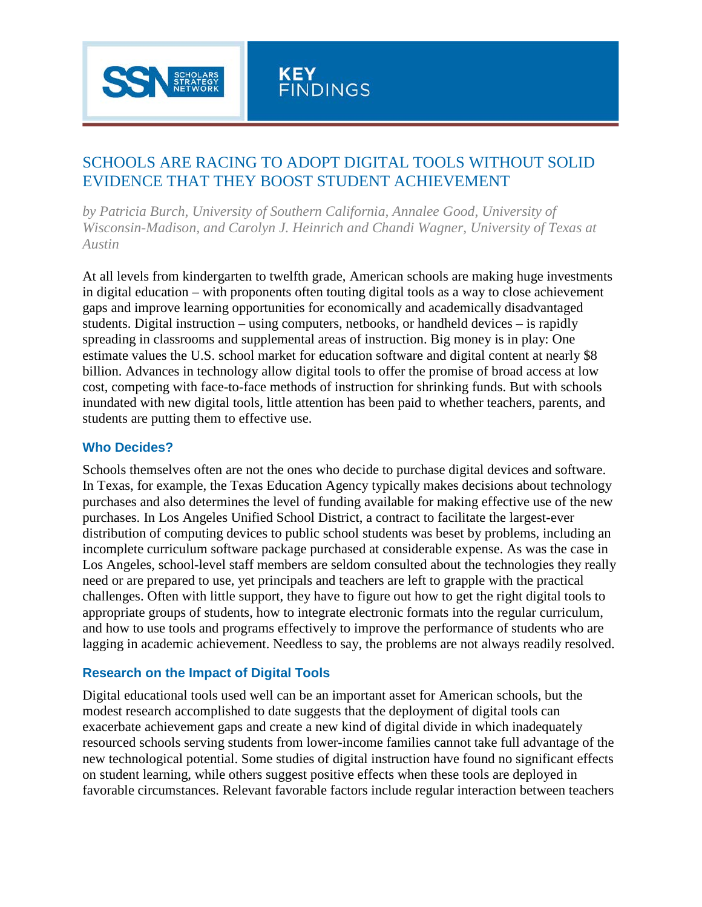

## SCHOOLS ARE RACING TO ADOPT DIGITAL TOOLS WITHOUT SOLID EVIDENCE THAT THEY BOOST STUDENT ACHIEVEMENT

*by Patricia Burch, University of Southern California, Annalee Good, University of Wisconsin-Madison, and Carolyn J. Heinrich and Chandi Wagner, University of Texas at Austin*

At all levels from kindergarten to twelfth grade, American schools are making huge investments in digital education – with proponents often touting digital tools as a way to close achievement gaps and improve learning opportunities for economically and academically disadvantaged students. Digital instruction – using computers, netbooks, or handheld devices – is rapidly spreading in classrooms and supplemental areas of instruction. Big money is in play: One estimate values the U.S. school market for education software and digital content at nearly \$8 billion. Advances in technology allow digital tools to offer the promise of broad access at low cost, competing with face-to-face methods of instruction for shrinking funds. But with schools inundated with new digital tools, little attention has been paid to whether teachers, parents, and students are putting them to effective use.

## **Who Decides?**

Schools themselves often are not the ones who decide to purchase digital devices and software. In Texas, for example, the Texas Education Agency typically makes decisions about technology purchases and also determines the level of funding available for making effective use of the new purchases. In Los Angeles Unified School District, a contract to facilitate the largest-ever distribution of computing devices to public school students was beset by problems, including an incomplete curriculum software package purchased at considerable expense. As was the case in Los Angeles, school-level staff members are seldom consulted about the technologies they really need or are prepared to use, yet principals and teachers are left to grapple with the practical challenges. Often with little support, they have to figure out how to get the right digital tools to appropriate groups of students, how to integrate electronic formats into the regular curriculum, and how to use tools and programs effectively to improve the performance of students who are lagging in academic achievement. Needless to say, the problems are not always readily resolved.

## **Research on the Impact of Digital Tools**

Digital educational tools used well can be an important asset for American schools, but the modest research accomplished to date suggests that the deployment of digital tools can exacerbate achievement gaps and create a new kind of digital divide in which inadequately resourced schools serving students from lower-income families cannot take full advantage of the new technological potential. Some studies of digital instruction have found no significant effects on student learning, while others suggest positive effects when these tools are deployed in favorable circumstances. Relevant favorable factors include regular interaction between teachers